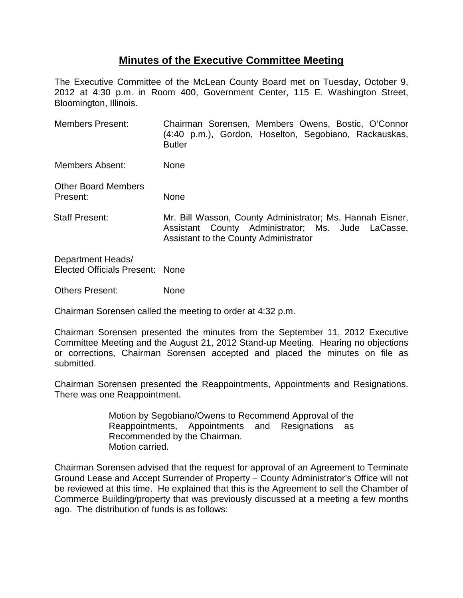# **Minutes of the Executive Committee Meeting**

The Executive Committee of the McLean County Board met on Tuesday, October 9, 2012 at 4:30 p.m. in Room 400, Government Center, 115 E. Washington Street, Bloomington, Illinois.

| <b>Members Present:</b>                              | Chairman Sorensen, Members Owens, Bostic, O'Connor<br>(4:40 p.m.), Gordon, Hoselton, Segobiano, Rackauskas,<br><b>Butler</b>                            |
|------------------------------------------------------|---------------------------------------------------------------------------------------------------------------------------------------------------------|
| <b>Members Absent:</b>                               | None                                                                                                                                                    |
| <b>Other Board Members</b><br>Present:               | None                                                                                                                                                    |
| <b>Staff Present:</b>                                | Mr. Bill Wasson, County Administrator; Ms. Hannah Eisner,<br>Assistant County Administrator; Ms. Jude LaCasse,<br>Assistant to the County Administrator |
| Department Heads/<br>Elected Officials Present: None |                                                                                                                                                         |

Others Present: None

Chairman Sorensen called the meeting to order at 4:32 p.m.

Chairman Sorensen presented the minutes from the September 11, 2012 Executive Committee Meeting and the August 21, 2012 Stand-up Meeting. Hearing no objections or corrections, Chairman Sorensen accepted and placed the minutes on file as submitted.

Chairman Sorensen presented the Reappointments, Appointments and Resignations. There was one Reappointment.

> Motion by Segobiano/Owens to Recommend Approval of the Reappointments, Appointments and Resignations as Recommended by the Chairman. Motion carried.

Chairman Sorensen advised that the request for approval of an Agreement to Terminate Ground Lease and Accept Surrender of Property – County Administrator's Office will not be reviewed at this time. He explained that this is the Agreement to sell the Chamber of Commerce Building/property that was previously discussed at a meeting a few months ago. The distribution of funds is as follows: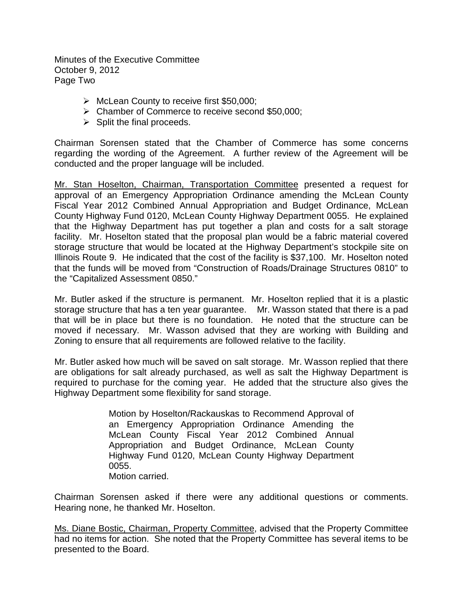Minutes of the Executive Committee October 9, 2012 Page Two

- McLean County to receive first \$50,000;
- Chamber of Commerce to receive second \$50,000;
- $\triangleright$  Split the final proceeds.

Chairman Sorensen stated that the Chamber of Commerce has some concerns regarding the wording of the Agreement. A further review of the Agreement will be conducted and the proper language will be included.

Mr. Stan Hoselton, Chairman, Transportation Committee presented a request for approval of an Emergency Appropriation Ordinance amending the McLean County Fiscal Year 2012 Combined Annual Appropriation and Budget Ordinance, McLean County Highway Fund 0120, McLean County Highway Department 0055. He explained that the Highway Department has put together a plan and costs for a salt storage facility. Mr. Hoselton stated that the proposal plan would be a fabric material covered storage structure that would be located at the Highway Department's stockpile site on Illinois Route 9. He indicated that the cost of the facility is \$37,100. Mr. Hoselton noted that the funds will be moved from "Construction of Roads/Drainage Structures 0810" to the "Capitalized Assessment 0850."

Mr. Butler asked if the structure is permanent. Mr. Hoselton replied that it is a plastic storage structure that has a ten year guarantee. Mr. Wasson stated that there is a pad that will be in place but there is no foundation. He noted that the structure can be moved if necessary. Mr. Wasson advised that they are working with Building and Zoning to ensure that all requirements are followed relative to the facility.

Mr. Butler asked how much will be saved on salt storage. Mr. Wasson replied that there are obligations for salt already purchased, as well as salt the Highway Department is required to purchase for the coming year. He added that the structure also gives the Highway Department some flexibility for sand storage.

> Motion by Hoselton/Rackauskas to Recommend Approval of an Emergency Appropriation Ordinance Amending the McLean County Fiscal Year 2012 Combined Annual Appropriation and Budget Ordinance, McLean County Highway Fund 0120, McLean County Highway Department 0055.

Motion carried.

Chairman Sorensen asked if there were any additional questions or comments. Hearing none, he thanked Mr. Hoselton.

Ms. Diane Bostic, Chairman, Property Committee, advised that the Property Committee had no items for action. She noted that the Property Committee has several items to be presented to the Board.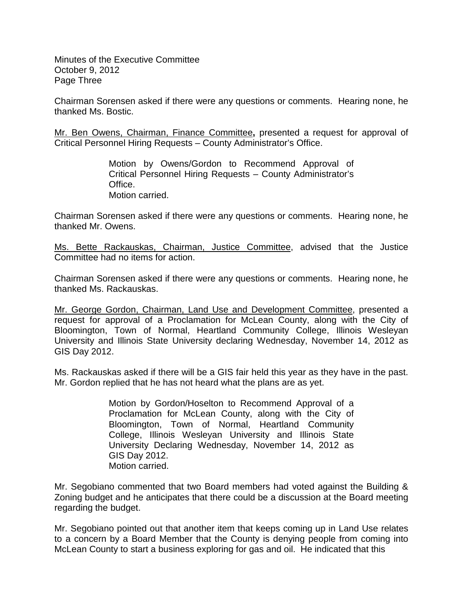Minutes of the Executive Committee October 9, 2012 Page Three

Chairman Sorensen asked if there were any questions or comments. Hearing none, he thanked Ms. Bostic.

Mr. Ben Owens, Chairman, Finance Committee**,** presented a request for approval of Critical Personnel Hiring Requests – County Administrator's Office.

> Motion by Owens/Gordon to Recommend Approval of Critical Personnel Hiring Requests – County Administrator's Office. Motion carried.

Chairman Sorensen asked if there were any questions or comments. Hearing none, he thanked Mr. Owens.

Ms. Bette Rackauskas, Chairman, Justice Committee, advised that the Justice Committee had no items for action.

Chairman Sorensen asked if there were any questions or comments. Hearing none, he thanked Ms. Rackauskas.

Mr. George Gordon, Chairman, Land Use and Development Committee, presented a request for approval of a Proclamation for McLean County, along with the City of Bloomington, Town of Normal, Heartland Community College, Illinois Wesleyan University and Illinois State University declaring Wednesday, November 14, 2012 as GIS Day 2012.

Ms. Rackauskas asked if there will be a GIS fair held this year as they have in the past. Mr. Gordon replied that he has not heard what the plans are as yet.

> Motion by Gordon/Hoselton to Recommend Approval of a Proclamation for McLean County, along with the City of Bloomington, Town of Normal, Heartland Community College, Illinois Wesleyan University and Illinois State University Declaring Wednesday, November 14, 2012 as GIS Day 2012. Motion carried.

Mr. Segobiano commented that two Board members had voted against the Building & Zoning budget and he anticipates that there could be a discussion at the Board meeting regarding the budget.

Mr. Segobiano pointed out that another item that keeps coming up in Land Use relates to a concern by a Board Member that the County is denying people from coming into McLean County to start a business exploring for gas and oil. He indicated that this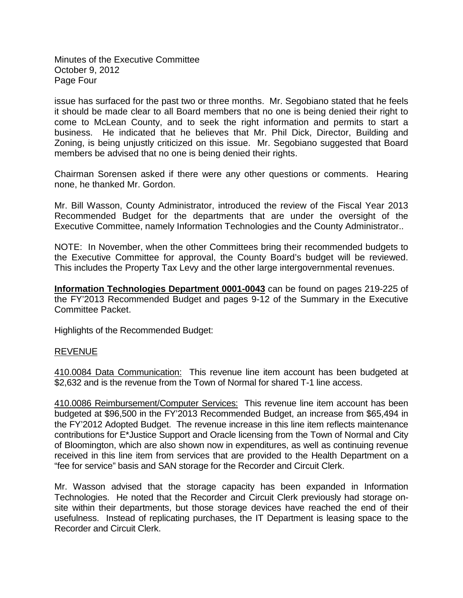Minutes of the Executive Committee October 9, 2012 Page Four

issue has surfaced for the past two or three months. Mr. Segobiano stated that he feels it should be made clear to all Board members that no one is being denied their right to come to McLean County, and to seek the right information and permits to start a business. He indicated that he believes that Mr. Phil Dick, Director, Building and Zoning, is being unjustly criticized on this issue. Mr. Segobiano suggested that Board members be advised that no one is being denied their rights.

Chairman Sorensen asked if there were any other questions or comments. Hearing none, he thanked Mr. Gordon.

Mr. Bill Wasson, County Administrator, introduced the review of the Fiscal Year 2013 Recommended Budget for the departments that are under the oversight of the Executive Committee, namely Information Technologies and the County Administrator..

NOTE: In November, when the other Committees bring their recommended budgets to the Executive Committee for approval, the County Board's budget will be reviewed. This includes the Property Tax Levy and the other large intergovernmental revenues.

**Information Technologies Department 0001-0043** can be found on pages 219-225 of the FY'2013 Recommended Budget and pages 9-12 of the Summary in the Executive Committee Packet.

Highlights of the Recommended Budget:

# REVENUE

410.0084 Data Communication: This revenue line item account has been budgeted at \$2,632 and is the revenue from the Town of Normal for shared T-1 line access.

410.0086 Reimbursement/Computer Services: This revenue line item account has been budgeted at \$96,500 in the FY'2013 Recommended Budget, an increase from \$65,494 in the FY'2012 Adopted Budget. The revenue increase in this line item reflects maintenance contributions for E\*Justice Support and Oracle licensing from the Town of Normal and City of Bloomington, which are also shown now in expenditures, as well as continuing revenue received in this line item from services that are provided to the Health Department on a "fee for service" basis and SAN storage for the Recorder and Circuit Clerk.

Mr. Wasson advised that the storage capacity has been expanded in Information Technologies. He noted that the Recorder and Circuit Clerk previously had storage onsite within their departments, but those storage devices have reached the end of their usefulness. Instead of replicating purchases, the IT Department is leasing space to the Recorder and Circuit Clerk.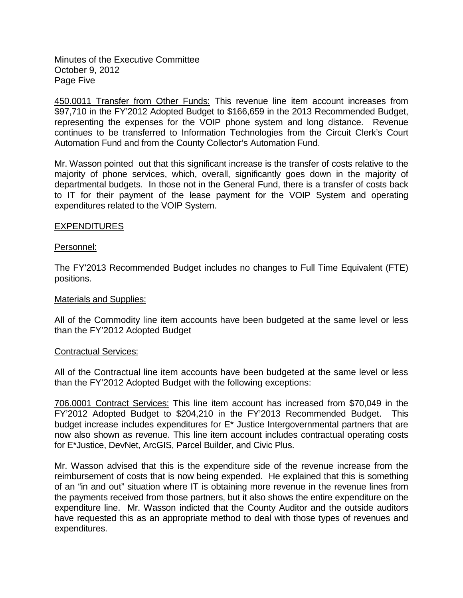Minutes of the Executive Committee October 9, 2012 Page Five

450.0011 Transfer from Other Funds: This revenue line item account increases from \$97,710 in the FY'2012 Adopted Budget to \$166,659 in the 2013 Recommended Budget, representing the expenses for the VOIP phone system and long distance. Revenue continues to be transferred to Information Technologies from the Circuit Clerk's Court Automation Fund and from the County Collector's Automation Fund.

Mr. Wasson pointed out that this significant increase is the transfer of costs relative to the majority of phone services, which, overall, significantly goes down in the majority of departmental budgets. In those not in the General Fund, there is a transfer of costs back to IT for their payment of the lease payment for the VOIP System and operating expenditures related to the VOIP System.

# EXPENDITURES

## Personnel:

The FY'2013 Recommended Budget includes no changes to Full Time Equivalent (FTE) positions.

#### Materials and Supplies:

All of the Commodity line item accounts have been budgeted at the same level or less than the FY'2012 Adopted Budget

#### Contractual Services:

All of the Contractual line item accounts have been budgeted at the same level or less than the FY'2012 Adopted Budget with the following exceptions:

706.0001 Contract Services: This line item account has increased from \$70,049 in the FY'2012 Adopted Budget to \$204,210 in the FY'2013 Recommended Budget. This budget increase includes expenditures for E\* Justice Intergovernmental partners that are now also shown as revenue. This line item account includes contractual operating costs for E\*Justice, DevNet, ArcGIS, Parcel Builder, and Civic Plus.

Mr. Wasson advised that this is the expenditure side of the revenue increase from the reimbursement of costs that is now being expended. He explained that this is something of an "in and out" situation where IT is obtaining more revenue in the revenue lines from the payments received from those partners, but it also shows the entire expenditure on the expenditure line. Mr. Wasson indicted that the County Auditor and the outside auditors have requested this as an appropriate method to deal with those types of revenues and expenditures.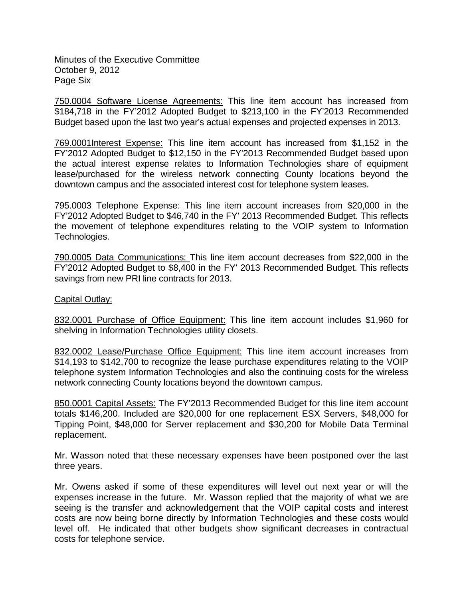Minutes of the Executive Committee October 9, 2012 Page Six

750.0004 Software License Agreements: This line item account has increased from \$184,718 in the FY'2012 Adopted Budget to \$213,100 in the FY'2013 Recommended Budget based upon the last two year's actual expenses and projected expenses in 2013.

769.0001Interest Expense: This line item account has increased from \$1,152 in the FY'2012 Adopted Budget to \$12,150 in the FY'2013 Recommended Budget based upon the actual interest expense relates to Information Technologies share of equipment lease/purchased for the wireless network connecting County locations beyond the downtown campus and the associated interest cost for telephone system leases.

795.0003 Telephone Expense: This line item account increases from \$20,000 in the FY'2012 Adopted Budget to \$46,740 in the FY' 2013 Recommended Budget. This reflects the movement of telephone expenditures relating to the VOIP system to Information Technologies.

790.0005 Data Communications: This line item account decreases from \$22,000 in the FY'2012 Adopted Budget to \$8,400 in the FY' 2013 Recommended Budget. This reflects savings from new PRI line contracts for 2013.

## Capital Outlay:

832.0001 Purchase of Office Equipment: This line item account includes \$1,960 for shelving in Information Technologies utility closets.

832.0002 Lease/Purchase Office Equipment: This line item account increases from \$14,193 to \$142,700 to recognize the lease purchase expenditures relating to the VOIP telephone system Information Technologies and also the continuing costs for the wireless network connecting County locations beyond the downtown campus.

850.0001 Capital Assets: The FY'2013 Recommended Budget for this line item account totals \$146,200. Included are \$20,000 for one replacement ESX Servers, \$48,000 for Tipping Point, \$48,000 for Server replacement and \$30,200 for Mobile Data Terminal replacement.

Mr. Wasson noted that these necessary expenses have been postponed over the last three years.

Mr. Owens asked if some of these expenditures will level out next year or will the expenses increase in the future. Mr. Wasson replied that the majority of what we are seeing is the transfer and acknowledgement that the VOIP capital costs and interest costs are now being borne directly by Information Technologies and these costs would level off. He indicated that other budgets show significant decreases in contractual costs for telephone service.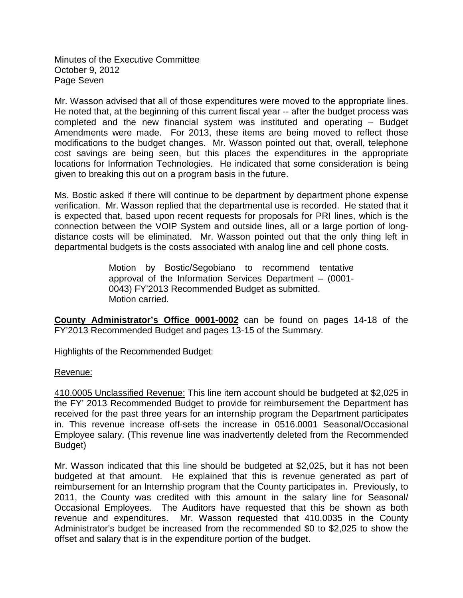Minutes of the Executive Committee October 9, 2012 Page Seven

Mr. Wasson advised that all of those expenditures were moved to the appropriate lines. He noted that, at the beginning of this current fiscal year -- after the budget process was completed and the new financial system was instituted and operating – Budget Amendments were made. For 2013, these items are being moved to reflect those modifications to the budget changes. Mr. Wasson pointed out that, overall, telephone cost savings are being seen, but this places the expenditures in the appropriate locations for Information Technologies. He indicated that some consideration is being given to breaking this out on a program basis in the future.

Ms. Bostic asked if there will continue to be department by department phone expense verification. Mr. Wasson replied that the departmental use is recorded. He stated that it is expected that, based upon recent requests for proposals for PRI lines, which is the connection between the VOIP System and outside lines, all or a large portion of longdistance costs will be eliminated. Mr. Wasson pointed out that the only thing left in departmental budgets is the costs associated with analog line and cell phone costs.

> Motion by Bostic/Segobiano to recommend tentative approval of the Information Services Department – (0001- 0043) FY'2013 Recommended Budget as submitted. Motion carried.

**County Administrator's Office 0001-0002** can be found on pages 14-18 of the FY'2013 Recommended Budget and pages 13-15 of the Summary.

Highlights of the Recommended Budget:

# Revenue:

410.0005 Unclassified Revenue: This line item account should be budgeted at \$2,025 in the FY' 2013 Recommended Budget to provide for reimbursement the Department has received for the past three years for an internship program the Department participates in. This revenue increase off-sets the increase in 0516.0001 Seasonal/Occasional Employee salary. (This revenue line was inadvertently deleted from the Recommended Budget)

Mr. Wasson indicated that this line should be budgeted at \$2,025, but it has not been budgeted at that amount. He explained that this is revenue generated as part of reimbursement for an Internship program that the County participates in. Previously, to 2011, the County was credited with this amount in the salary line for Seasonal/ Occasional Employees. The Auditors have requested that this be shown as both revenue and expenditures. Mr. Wasson requested that 410.0035 in the County Administrator's budget be increased from the recommended \$0 to \$2,025 to show the offset and salary that is in the expenditure portion of the budget.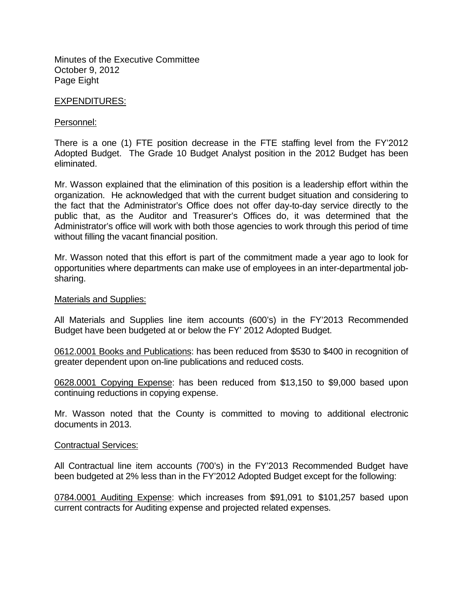Minutes of the Executive Committee October 9, 2012 Page Eight

# EXPENDITURES:

## Personnel:

There is a one (1) FTE position decrease in the FTE staffing level from the FY'2012 Adopted Budget. The Grade 10 Budget Analyst position in the 2012 Budget has been eliminated.

Mr. Wasson explained that the elimination of this position is a leadership effort within the organization. He acknowledged that with the current budget situation and considering to the fact that the Administrator's Office does not offer day-to-day service directly to the public that, as the Auditor and Treasurer's Offices do, it was determined that the Administrator's office will work with both those agencies to work through this period of time without filling the vacant financial position.

Mr. Wasson noted that this effort is part of the commitment made a year ago to look for opportunities where departments can make use of employees in an inter-departmental jobsharing.

#### Materials and Supplies:

All Materials and Supplies line item accounts (600's) in the FY'2013 Recommended Budget have been budgeted at or below the FY' 2012 Adopted Budget.

0612.0001 Books and Publications: has been reduced from \$530 to \$400 in recognition of greater dependent upon on-line publications and reduced costs.

0628.0001 Copying Expense: has been reduced from \$13,150 to \$9,000 based upon continuing reductions in copying expense.

Mr. Wasson noted that the County is committed to moving to additional electronic documents in 2013.

## Contractual Services:

All Contractual line item accounts (700's) in the FY'2013 Recommended Budget have been budgeted at 2% less than in the FY'2012 Adopted Budget except for the following:

0784.0001 Auditing Expense: which increases from \$91,091 to \$101,257 based upon current contracts for Auditing expense and projected related expenses.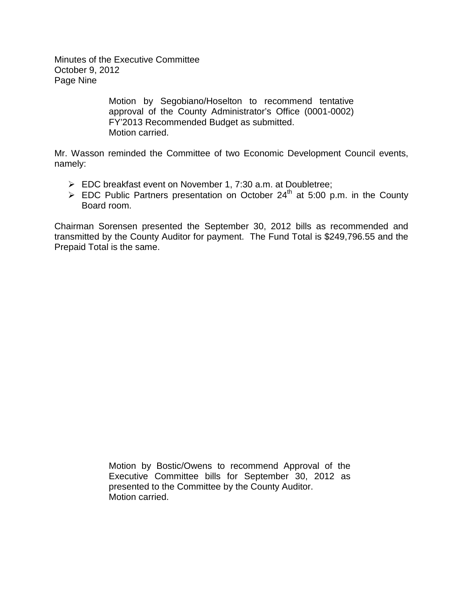Minutes of the Executive Committee October 9, 2012 Page Nine

> Motion by Segobiano/Hoselton to recommend tentative approval of the County Administrator's Office (0001-0002) FY'2013 Recommended Budget as submitted. Motion carried.

Mr. Wasson reminded the Committee of two Economic Development Council events, namely:

- EDC breakfast event on November 1, 7:30 a.m. at Doubletree;
- $\triangleright$  EDC Public Partners presentation on October 24<sup>th</sup> at 5:00 p.m. in the County Board room.

Chairman Sorensen presented the September 30, 2012 bills as recommended and transmitted by the County Auditor for payment. The Fund Total is \$249,796.55 and the Prepaid Total is the same.

> Motion by Bostic/Owens to recommend Approval of the Executive Committee bills for September 30, 2012 as presented to the Committee by the County Auditor. Motion carried.